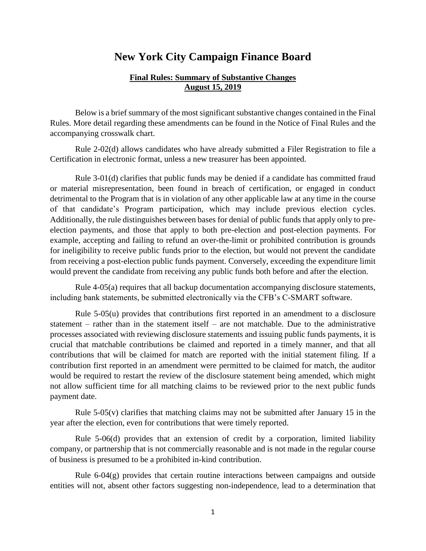## **New York City Campaign Finance Board**

## **Final Rules: Summary of Substantive Changes August 15, 2019**

Below is a brief summary of the most significant substantive changes contained in the Final Rules. More detail regarding these amendments can be found in the Notice of Final Rules and the accompanying crosswalk chart.

Rule 2-02(d) allows candidates who have already submitted a Filer Registration to file a Certification in electronic format, unless a new treasurer has been appointed.

Rule 3-01(d) clarifies that public funds may be denied if a candidate has committed fraud or material misrepresentation, been found in breach of certification, or engaged in conduct detrimental to the Program that is in violation of any other applicable law at any time in the course of that candidate's Program participation, which may include previous election cycles. Additionally, the rule distinguishes between bases for denial of public funds that apply only to preelection payments, and those that apply to both pre-election and post-election payments. For example, accepting and failing to refund an over-the-limit or prohibited contribution is grounds for ineligibility to receive public funds prior to the election, but would not prevent the candidate from receiving a post-election public funds payment. Conversely, exceeding the expenditure limit would prevent the candidate from receiving any public funds both before and after the election.

Rule 4-05(a) requires that all backup documentation accompanying disclosure statements, including bank statements, be submitted electronically via the CFB's C-SMART software.

Rule 5-05(u) provides that contributions first reported in an amendment to a disclosure statement – rather than in the statement itself – are not matchable. Due to the administrative processes associated with reviewing disclosure statements and issuing public funds payments, it is crucial that matchable contributions be claimed and reported in a timely manner, and that all contributions that will be claimed for match are reported with the initial statement filing. If a contribution first reported in an amendment were permitted to be claimed for match, the auditor would be required to restart the review of the disclosure statement being amended, which might not allow sufficient time for all matching claims to be reviewed prior to the next public funds payment date.

Rule  $5-05(v)$  clarifies that matching claims may not be submitted after January 15 in the year after the election, even for contributions that were timely reported.

Rule 5-06(d) provides that an extension of credit by a corporation, limited liability company, or partnership that is not commercially reasonable and is not made in the regular course of business is presumed to be a prohibited in-kind contribution.

Rule  $6-04(g)$  provides that certain routine interactions between campaigns and outside entities will not, absent other factors suggesting non-independence, lead to a determination that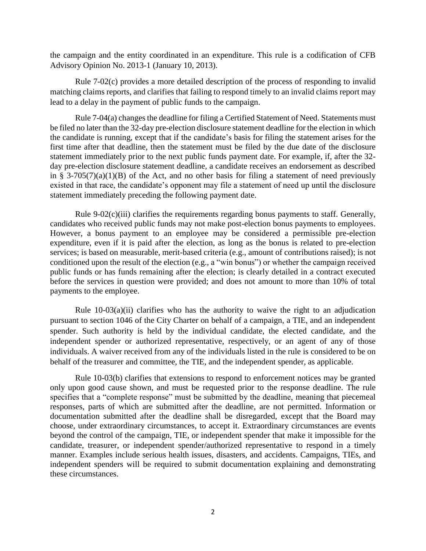the campaign and the entity coordinated in an expenditure. This rule is a codification of CFB Advisory Opinion No. 2013-1 (January 10, 2013).

Rule 7-02(c) provides a more detailed description of the process of responding to invalid matching claims reports, and clarifies that failing to respond timely to an invalid claims report may lead to a delay in the payment of public funds to the campaign.

Rule 7-04(a) changes the deadline for filing a Certified Statement of Need. Statements must be filed no later than the 32-day pre-election disclosure statement deadline for the election in which the candidate is running, except that if the candidate's basis for filing the statement arises for the first time after that deadline, then the statement must be filed by the due date of the disclosure statement immediately prior to the next public funds payment date. For example, if, after the 32 day pre-election disclosure statement deadline, a candidate receives an endorsement as described in § 3-705(7)(a)(1)(B) of the Act, and no other basis for filing a statement of need previously existed in that race, the candidate's opponent may file a statement of need up until the disclosure statement immediately preceding the following payment date.

Rule 9-02(c)(iii) clarifies the requirements regarding bonus payments to staff. Generally, candidates who received public funds may not make post-election bonus payments to employees. However, a bonus payment to an employee may be considered a permissible pre-election expenditure, even if it is paid after the election, as long as the bonus is related to pre-election services; is based on measurable, merit-based criteria (e.g., amount of contributions raised); is not conditioned upon the result of the election (e.g., a "win bonus") or whether the campaign received public funds or has funds remaining after the election; is clearly detailed in a contract executed before the services in question were provided; and does not amount to more than 10% of total payments to the employee.

Rule  $10-03(a)(ii)$  clarifies who has the authority to waive the right to an adjudication pursuant to section 1046 of the City Charter on behalf of a campaign, a TIE, and an independent spender. Such authority is held by the individual candidate, the elected candidate, and the independent spender or authorized representative, respectively, or an agent of any of those individuals. A waiver received from any of the individuals listed in the rule is considered to be on behalf of the treasurer and committee, the TIE, and the independent spender, as applicable.

Rule 10-03(b) clarifies that extensions to respond to enforcement notices may be granted only upon good cause shown, and must be requested prior to the response deadline. The rule specifies that a "complete response" must be submitted by the deadline, meaning that piecemeal responses, parts of which are submitted after the deadline, are not permitted. Information or documentation submitted after the deadline shall be disregarded, except that the Board may choose, under extraordinary circumstances, to accept it. Extraordinary circumstances are events beyond the control of the campaign, TIE, or independent spender that make it impossible for the candidate, treasurer, or independent spender/authorized representative to respond in a timely manner. Examples include serious health issues, disasters, and accidents. Campaigns, TIEs, and independent spenders will be required to submit documentation explaining and demonstrating these circumstances.